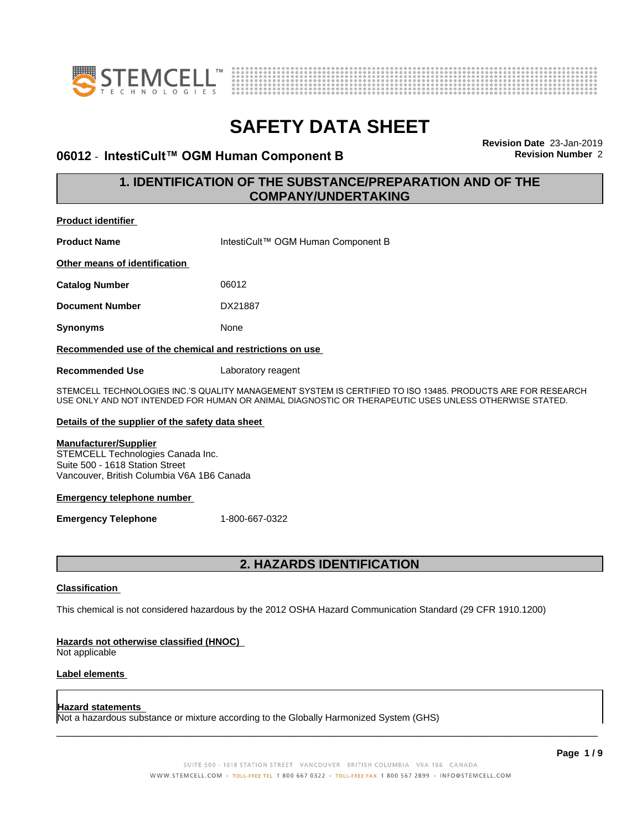



#### **06012 - IntestiCult™ OGM Human Component B** Revision Number 2

**Revision Date** 23-Jan-2019

#### **1. IDENTIFICATION OF THE SUBSTANCE/PREPARATION AND OF THE COMPANY/UNDERTAKING**

| <b>Product identifier</b>                                                                                                                                                                                            |                                    |  |
|----------------------------------------------------------------------------------------------------------------------------------------------------------------------------------------------------------------------|------------------------------------|--|
| <b>Product Name</b>                                                                                                                                                                                                  | IntestiCult™ OGM Human Component B |  |
| Other means of identification                                                                                                                                                                                        |                                    |  |
| <b>Catalog Number</b>                                                                                                                                                                                                | 06012                              |  |
| <b>Document Number</b>                                                                                                                                                                                               | DX21887                            |  |
| Synonyms                                                                                                                                                                                                             | None                               |  |
| Recommended use of the chemical and restrictions on use                                                                                                                                                              |                                    |  |
| Recommended Use                                                                                                                                                                                                      | Laboratory reagent                 |  |
| STEMCELL TECHNOLOGIES INC.'S QUALITY MANAGEMENT SYSTEM IS CERTIFIED TO ISO 13485. PRODUCTS ARE FOR RESEARCH<br>USE ONLY AND NOT INTENDED FOR HUMAN OR ANIMAL DIAGNOSTIC OR THERAPEUTIC USES UNLESS OTHERWISE STATED. |                                    |  |
| Details of the supplier of the safety data sheet                                                                                                                                                                     |                                    |  |
| <b>Manufacturer/Supplier</b><br>STEMCELL Technologies Canada Inc                                                                                                                                                     |                                    |  |

STEMCELL Technologies Canada Inc. Suite 500 - 1618 Station Street Vancouver, British Columbia V6A 1B6 Canada

#### **Emergency telephone number**

**Emergency Telephone** 1-800-667-0322

#### **2. HAZARDS IDENTIFICATION**

#### **Classification**

This chemical is not considered hazardous by the 2012 OSHA Hazard Communication Standard (29 CFR 1910.1200)

#### **Hazards not otherwise classified (HNOC)**

Not applicable

#### **Label elements**

#### **Hazard statements**

Not a hazardous substance or mixture according to the Globally Harmonized System (GHS)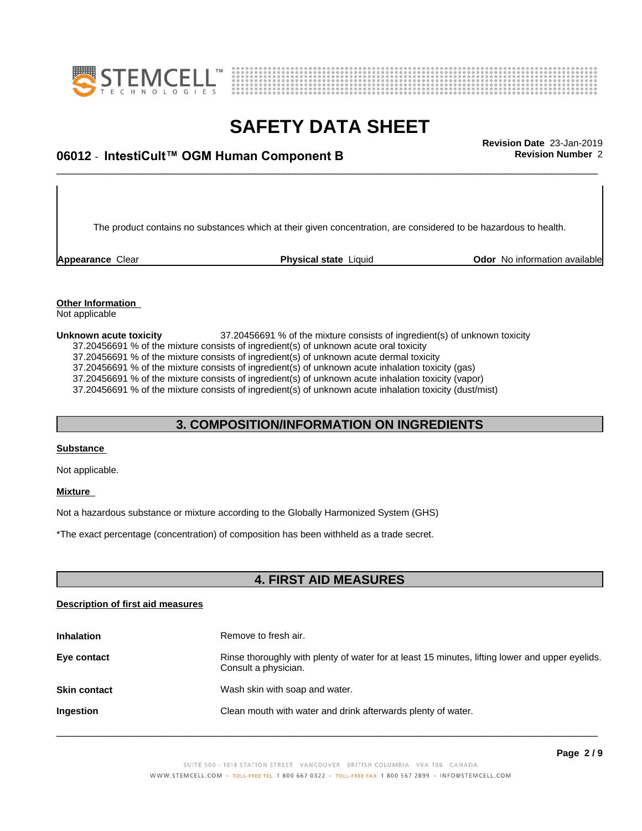



## \_\_\_\_\_\_\_\_\_\_\_\_\_\_\_\_\_\_\_\_\_\_\_\_\_\_\_\_\_\_\_\_\_\_\_\_\_\_\_\_\_\_\_\_\_\_\_\_\_\_\_\_\_\_\_\_\_\_\_\_\_\_\_\_\_\_\_\_\_\_\_\_\_\_\_\_\_\_\_\_\_\_\_\_\_\_\_\_\_\_\_\_\_ **Revision Date** 23-Jan-2019 **06012 ⋅ IntestiCult™ OGM Human Component B Revision Number** 2

The product contains no substances which at their given concentration, are considered to be hazardous to health.

**Appearance** Clear **Physical state** Liquid **Odor No information available Appearance** Clear

#### **Other Information** Not applicable

**Unknown acute toxicity** 37.20456691 % of the mixture consists of ingredient(s) of unknown toxicity 37.20456691 % of the mixture consists of ingredient(s) of unknown acute oral toxicity 37.20456691 % of the mixture consists of ingredient(s) ofunknown acute dermal toxicity 37.20456691 % of the mixture consists of ingredient(s) of unknown acute inhalation toxicity (gas) 37.20456691 % of the mixture consists of ingredient(s) of unknown acute inhalation toxicity (vapor) 37.20456691 % of the mixture consists of ingredient(s) of unknown acute inhalation toxicity (dust/mist)

#### **3. COMPOSITION/INFORMATION ON INGREDIENTS**

#### **Substance**

Not applicable.

#### **Mixture**

Not a hazardous substance or mixture according to the Globally Harmonized System (GHS)

\*The exact percentage (concentration) ofcomposition has been withheld as a trade secret.

#### **4. FIRST AID MEASURES**

#### **Description of first aid measures**

| <b>Inhalation</b>   | Remove to fresh air.                                                                                                    |
|---------------------|-------------------------------------------------------------------------------------------------------------------------|
| Eye contact         | Rinse thoroughly with plenty of water for at least 15 minutes, lifting lower and upper eyelids.<br>Consult a physician. |
| <b>Skin contact</b> | Wash skin with soap and water.                                                                                          |
| Ingestion           | Clean mouth with water and drink afterwards plenty of water.                                                            |
|                     |                                                                                                                         |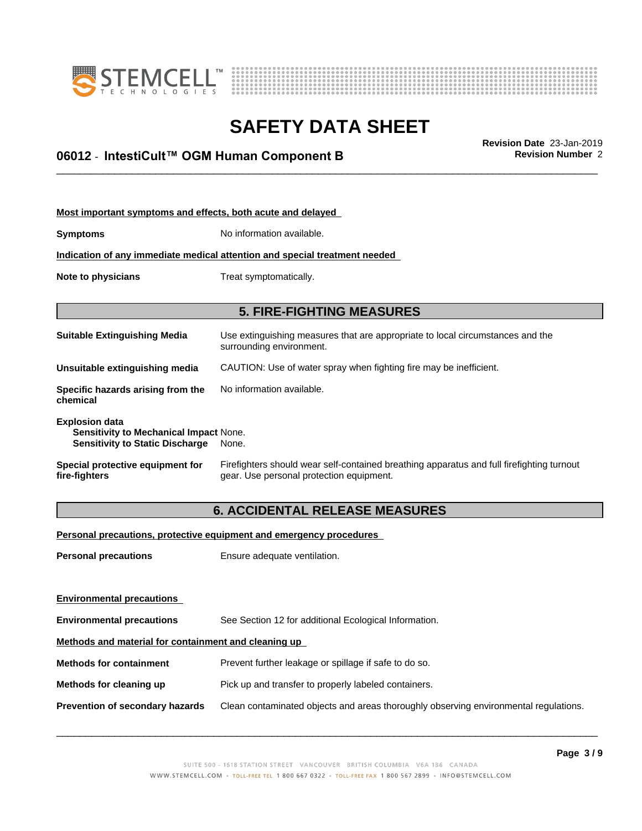



## \_\_\_\_\_\_\_\_\_\_\_\_\_\_\_\_\_\_\_\_\_\_\_\_\_\_\_\_\_\_\_\_\_\_\_\_\_\_\_\_\_\_\_\_\_\_\_\_\_\_\_\_\_\_\_\_\_\_\_\_\_\_\_\_\_\_\_\_\_\_\_\_\_\_\_\_\_\_\_\_\_\_\_\_\_\_\_\_\_\_\_\_\_ **Revision Date** 23-Jan-2019 **06012 ⋅ IntestiCult™ OGM Human Component B Revision Number** 2

| Most important symptoms and effects, both acute and delayed                                               |                                                                                                                                       |  |
|-----------------------------------------------------------------------------------------------------------|---------------------------------------------------------------------------------------------------------------------------------------|--|
| <b>Symptoms</b>                                                                                           | No information available.                                                                                                             |  |
|                                                                                                           | Indication of any immediate medical attention and special treatment needed                                                            |  |
| Note to physicians                                                                                        | Treat symptomatically.                                                                                                                |  |
|                                                                                                           |                                                                                                                                       |  |
|                                                                                                           | <b>5. FIRE-FIGHTING MEASURES</b>                                                                                                      |  |
| Suitable Extinguishing Media                                                                              | Use extinguishing measures that are appropriate to local circumstances and the<br>surrounding environment.                            |  |
| Unsuitable extinguishing media                                                                            | CAUTION: Use of water spray when fighting fire may be inefficient.                                                                    |  |
| Specific hazards arising from the<br>chemical                                                             | No information available.                                                                                                             |  |
| <b>Explosion data</b><br>Sensitivity to Mechanical Impact None.<br><b>Sensitivity to Static Discharge</b> | None.                                                                                                                                 |  |
| Special protective equipment for<br>fire-fighters                                                         | Firefighters should wear self-contained breathing apparatus and full firefighting turnout<br>gear. Use personal protection equipment. |  |
|                                                                                                           |                                                                                                                                       |  |

### **6. ACCIDENTAL RELEASE MEASURES**

**Personal precautions, protective equipment and emergency procedures**

**Personal precautions** Ensure adequate ventilation.

| <b>Environmental precautions</b>                     |                                                                                      |  |
|------------------------------------------------------|--------------------------------------------------------------------------------------|--|
| <b>Environmental precautions</b>                     | See Section 12 for additional Ecological Information.                                |  |
| Methods and material for containment and cleaning up |                                                                                      |  |
| <b>Methods for containment</b>                       | Prevent further leakage or spillage if safe to do so.                                |  |
| Methods for cleaning up                              | Pick up and transfer to properly labeled containers.                                 |  |
| <b>Prevention of secondary hazards</b>               | Clean contaminated objects and areas thoroughly observing environmental regulations. |  |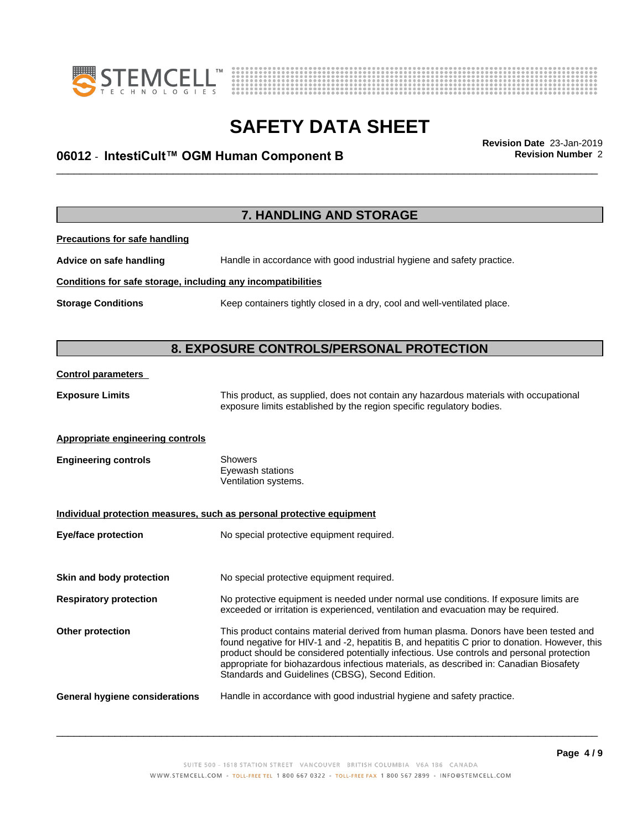



## \_\_\_\_\_\_\_\_\_\_\_\_\_\_\_\_\_\_\_\_\_\_\_\_\_\_\_\_\_\_\_\_\_\_\_\_\_\_\_\_\_\_\_\_\_\_\_\_\_\_\_\_\_\_\_\_\_\_\_\_\_\_\_\_\_\_\_\_\_\_\_\_\_\_\_\_\_\_\_\_\_\_\_\_\_\_\_\_\_\_\_\_\_ **Revision Date** 23-Jan-2019 **06012 ⋅ IntestiCult™ OGM Human Component B Revision Number** 2

**7. HANDLING AND STORAGE Precautions for safe handling Advice on safe handling** Handle in accordance with good industrial hygiene and safety practice. **Conditions for safe storage, including any incompatibilities Storage Conditions** Keep containers tightly closed in a dry, cool and well-ventilated place. **8. EXPOSURE CONTROLS/PERSONAL PROTECTION Control parameters Exposure Limits** This product, as supplied, does not contain any hazardous materials with occupational exposure limits established by the region specific regulatory bodies. **Appropriate engineering controls Engineering controls** Showers Eyewash stations Ventilation systems. **Individual protection measures, such as personal protective equipment Eye/face protection** No special protective equipment required. **Skin and body protection** No special protective equipment required. **Respiratory protection** No protective equipment is needed under normal use conditions. If exposure limits are exceeded or irritation is experienced, ventilation and evacuation may be required. **Other protection** This product contains material derived from human plasma. Donors have been tested and found negative for HIV-1 and -2, hepatitis B, and hepatitis C prior to donation. However, this product should be considered potentially infectious. Use controls and personal protection appropriate for biohazardous infectious materials, as described in: Canadian Biosafety Standards and Guidelines (CBSG), Second Edition. **General hygiene considerations** Handle in accordance with good industrial hygiene and safety practice.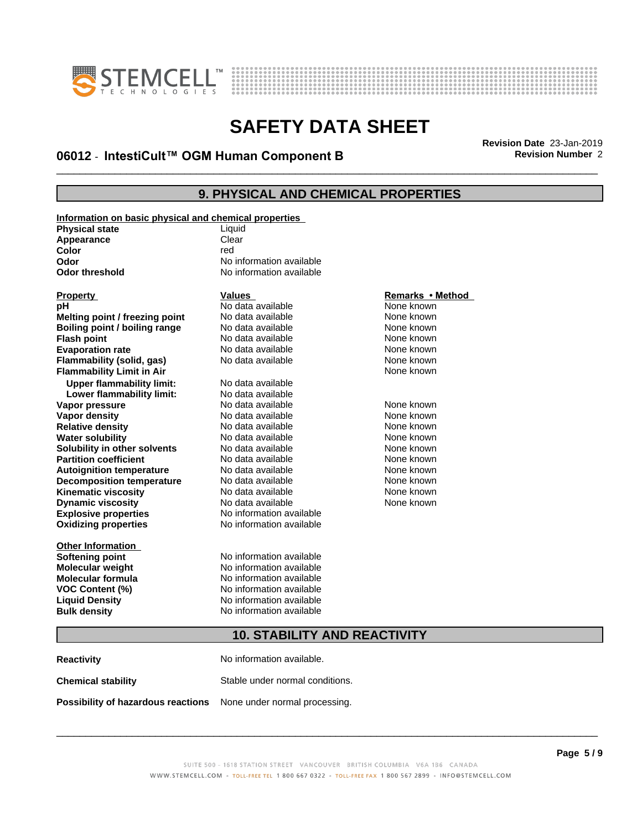



## \_\_\_\_\_\_\_\_\_\_\_\_\_\_\_\_\_\_\_\_\_\_\_\_\_\_\_\_\_\_\_\_\_\_\_\_\_\_\_\_\_\_\_\_\_\_\_\_\_\_\_\_\_\_\_\_\_\_\_\_\_\_\_\_\_\_\_\_\_\_\_\_\_\_\_\_\_\_\_\_\_\_\_\_\_\_\_\_\_\_\_\_\_ **Revision Date** 23-Jan-2019 **06012 ⋅ IntestiCult™ OGM Human Component B Revision Number** 2

#### **9. PHYSICAL AND CHEMICAL PROPERTIES**

| Information on basic physical and chemical properties |                          |                  |
|-------------------------------------------------------|--------------------------|------------------|
| <b>Physical state</b>                                 | Liquid                   |                  |
| Appearance                                            | Clear                    |                  |
| <b>Color</b>                                          | red                      |                  |
| Odor                                                  | No information available |                  |
| <b>Odor threshold</b>                                 | No information available |                  |
|                                                       |                          |                  |
| <b>Property</b>                                       | <b>Values</b>            | Remarks • Method |
| рH                                                    | No data available        | None known       |
| Melting point / freezing point                        | No data available        | None known       |
| Boiling point / boiling range                         | No data available        | None known       |
| <b>Flash point</b>                                    | No data available        | None known       |
| <b>Evaporation rate</b>                               | No data available        | None known       |
| Flammability (solid, gas)                             | No data available        | None known       |
| <b>Flammability Limit in Air</b>                      |                          | None known       |
| <b>Upper flammability limit:</b>                      | No data available        |                  |
| Lower flammability limit:                             | No data available        |                  |
| Vapor pressure                                        | No data available        | None known       |
| Vapor density                                         | No data available        | None known       |
| <b>Relative density</b>                               | No data available        | None known       |
| <b>Water solubility</b>                               | No data available        | None known       |
| Solubility in other solvents                          | No data available        | None known       |
| <b>Partition coefficient</b>                          | No data available        | None known       |
| <b>Autoignition temperature</b>                       | No data available        | None known       |
| <b>Decomposition temperature</b>                      | No data available        | None known       |
| <b>Kinematic viscosity</b>                            | No data available        | None known       |
| <b>Dynamic viscosity</b>                              | No data available        | None known       |
| <b>Explosive properties</b>                           | No information available |                  |
| <b>Oxidizing properties</b>                           | No information available |                  |
|                                                       |                          |                  |
| <b>Other Information</b>                              |                          |                  |
| <b>Softening point</b>                                | No information available |                  |
| <b>Molecular weight</b>                               | No information available |                  |
| <b>Molecular formula</b>                              | No information available |                  |
| <b>VOC Content (%)</b>                                | No information available |                  |
| <b>Liquid Density</b>                                 | No information available |                  |
| <b>Bulk density</b>                                   | No information available |                  |
|                                                       |                          |                  |

#### **Remarks** • Method

#### **10. STABILITY AND REACTIVITY**

| <b>Reactivity</b>                  | No information available.       |
|------------------------------------|---------------------------------|
| <b>Chemical stability</b>          | Stable under normal conditions. |
| Possibility of hazardous reactions | None under normal processing.   |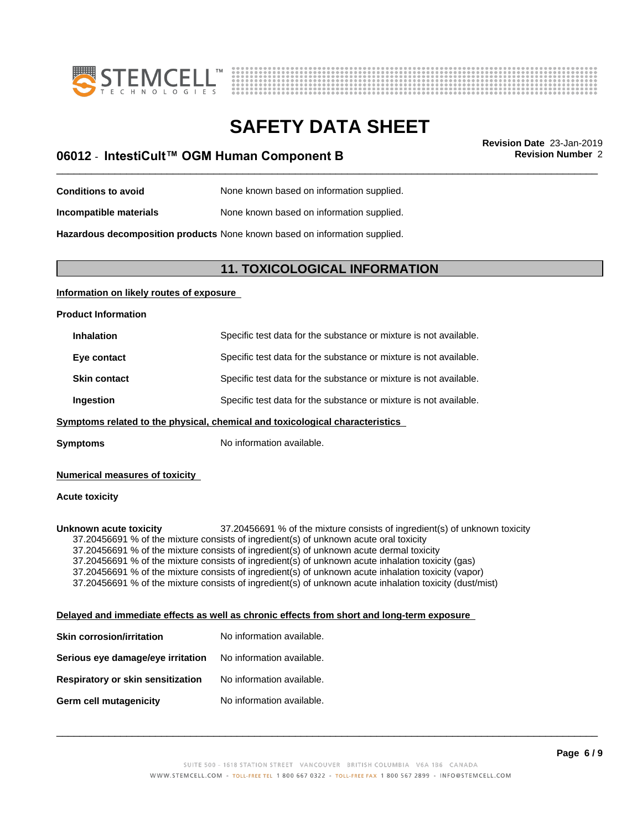



# **SAFETY DATA SHEET**<br>Revision Date 23-Jan-2019

## \_\_\_\_\_\_\_\_\_\_\_\_\_\_\_\_\_\_\_\_\_\_\_\_\_\_\_\_\_\_\_\_\_\_\_\_\_\_\_\_\_\_\_\_\_\_\_\_\_\_\_\_\_\_\_\_\_\_\_\_\_\_\_\_\_\_\_\_\_\_\_\_\_\_\_\_\_\_\_\_\_\_\_\_\_\_\_\_\_\_\_\_\_ **Revision Date** 23-Jan-2019 **06012 ⋅ IntestiCult™ OGM Human Component B Revision Number** 2

**Conditions to avoid** None known based on information supplied. **Incompatible materials** None known based on information supplied.

**Hazardous decomposition products** None known based on information supplied.

#### **11. TOXICOLOGICAL INFORMATION**

#### **Information on likely routes of exposure**

**Product Information**

| Specific test data for the substance or mixture is not available. |
|-------------------------------------------------------------------|
| Specific test data for the substance or mixture is not available. |
| Specific test data for the substance or mixture is not available. |
| Specific test data for the substance or mixture is not available. |
|                                                                   |

#### **<u>Symptoms related to the physical, chemical and toxicological characteristics</u>**

**Symptoms** No information available.

#### **Numerical measures of toxicity**

#### **Acute toxicity**

**Unknown acute toxicity** 37.20456691 % of the mixture consists of ingredient(s) of unknown toxicity 37.20456691 % of the mixture consists of ingredient(s) of unknown acute oral toxicity 37.20456691 % of the mixture consists of ingredient(s) of unknown acute dermal toxicity 37.20456691 % of the mixture consists of ingredient(s) of unknown acute inhalation toxicity (gas) 37.20456691 % of the mixture consists of ingredient(s) of unknown acute inhalation toxicity (vapor) 37.20456691 % of the mixture consists of ingredient(s) of unknown acute inhalation toxicity (dust/mist)

#### **Delayed and immediate effects as well as chronic effects from short and long-term exposure**

| <b>Skin corrosion/irritation</b>         | No information available. |
|------------------------------------------|---------------------------|
| Serious eye damage/eye irritation        | No information available. |
| <b>Respiratory or skin sensitization</b> | No information available. |
| Germ cell mutagenicity                   | No information available. |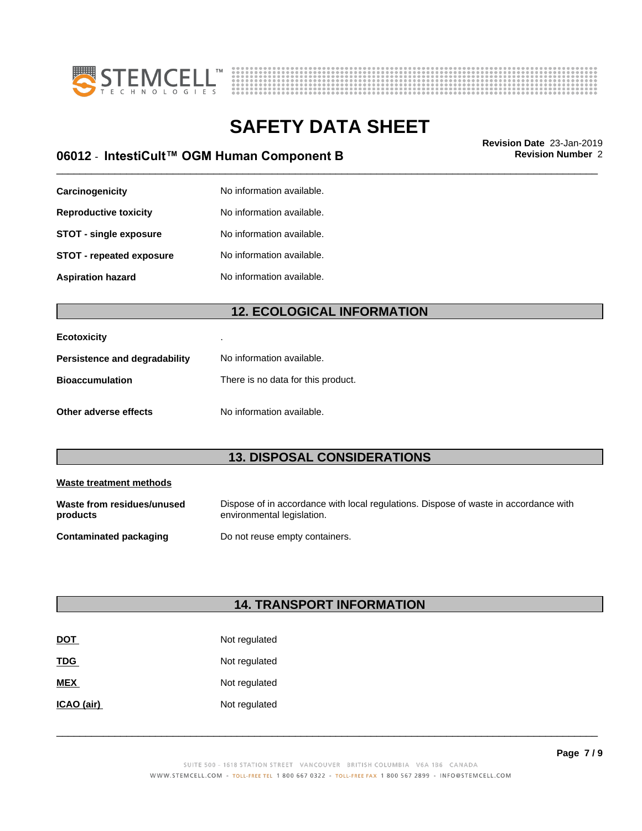



## \_\_\_\_\_\_\_\_\_\_\_\_\_\_\_\_\_\_\_\_\_\_\_\_\_\_\_\_\_\_\_\_\_\_\_\_\_\_\_\_\_\_\_\_\_\_\_\_\_\_\_\_\_\_\_\_\_\_\_\_\_\_\_\_\_\_\_\_\_\_\_\_\_\_\_\_\_\_\_\_\_\_\_\_\_\_\_\_\_\_\_\_\_ **Revision Date** 23-Jan-2019 **06012 ⋅ IntestiCult™ OGM Human Component B Revision Number** 2

| Carcinogenicity                 | No information available. |
|---------------------------------|---------------------------|
| <b>Reproductive toxicity</b>    | No information available. |
| <b>STOT - single exposure</b>   | No information available. |
| <b>STOT - repeated exposure</b> | No information available. |
| <b>Aspiration hazard</b>        | No information available. |

### **12. ECOLOGICAL INFORMATION**

| <b>Ecotoxicity</b>            |                                    |
|-------------------------------|------------------------------------|
| Persistence and degradability | No information available.          |
| <b>Bioaccumulation</b>        | There is no data for this product. |
| Other adverse effects         | No information available.          |

### **13. DISPOSAL CONSIDERATIONS**

| Waste treatment methods                |                                                                                                                    |
|----------------------------------------|--------------------------------------------------------------------------------------------------------------------|
| Waste from residues/unused<br>products | Dispose of in accordance with local regulations. Dispose of waste in accordance with<br>environmental legislation. |
| <b>Contaminated packaging</b>          | Do not reuse empty containers.                                                                                     |

### **14. TRANSPORT INFORMATION**

| <b>DOT</b> | Not regulated |
|------------|---------------|
| <b>TDG</b> | Not regulated |
| <b>MEX</b> | Not regulated |
| ICAO (air) | Not regulated |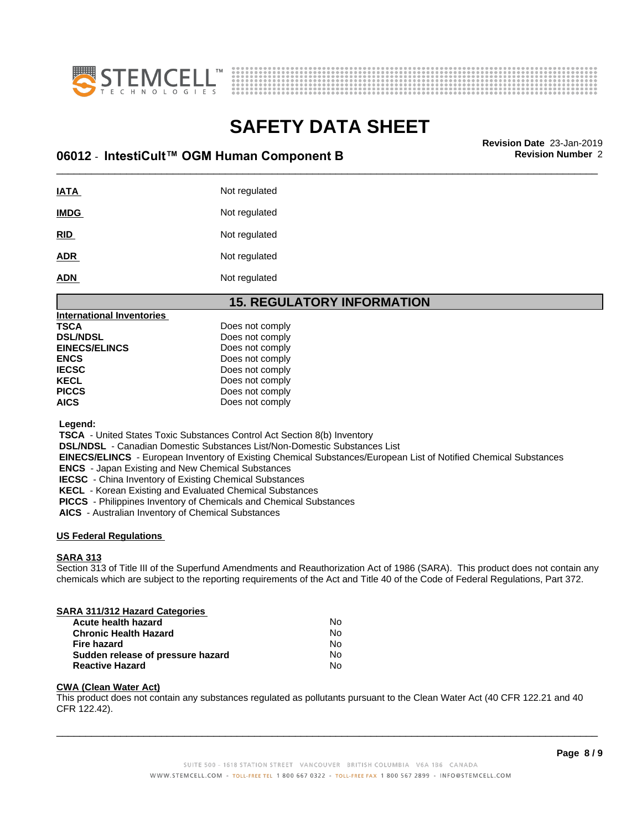



## \_\_\_\_\_\_\_\_\_\_\_\_\_\_\_\_\_\_\_\_\_\_\_\_\_\_\_\_\_\_\_\_\_\_\_\_\_\_\_\_\_\_\_\_\_\_\_\_\_\_\_\_\_\_\_\_\_\_\_\_\_\_\_\_\_\_\_\_\_\_\_\_\_\_\_\_\_\_\_\_\_\_\_\_\_\_\_\_\_\_\_\_\_ **Revision Date** 23-Jan-2019 **06012 ⋅ IntestiCult™ OGM Human Component B Revision Number** 2

| IATA        | Not regulated |
|-------------|---------------|
| <b>IMDG</b> | Not regulated |
| <u>RID</u>  | Not regulated |
| <b>ADR</b>  | Not regulated |
| <b>ADN</b>  | Not regulated |

#### **15. REGULATORY INFORMATION**

| <b>International Inventories</b> |                 |  |
|----------------------------------|-----------------|--|
| TSCA                             | Does not comply |  |
| <b>DSL/NDSL</b>                  | Does not comply |  |
| <b>EINECS/ELINCS</b>             | Does not comply |  |
| <b>ENCS</b>                      | Does not comply |  |
| <b>IECSC</b>                     | Does not comply |  |
| KECL                             | Does not comply |  |
| <b>PICCS</b>                     | Does not comply |  |
| <b>AICS</b>                      | Does not comply |  |
|                                  |                 |  |

 **Legend:**

 **TSCA** - United States Toxic Substances Control Act Section 8(b) Inventory

 **DSL/NDSL** - Canadian Domestic Substances List/Non-Domestic Substances List

 **EINECS/ELINCS** - European Inventory of Existing Chemical Substances/European List of Notified Chemical Substances

 **ENCS** - Japan Existing and New Chemical Substances

 **IECSC** - China Inventory of Existing Chemical Substances

 **KECL** - Korean Existing and Evaluated Chemical Substances

 **PICCS** - Philippines Inventory of Chemicals and Chemical Substances

 **AICS** - Australian Inventory of Chemical Substances

#### **US Federal Regulations**

#### **SARA 313**

Section 313 of Title III of the Superfund Amendments and Reauthorization Act of 1986 (SARA). This product does not contain any chemicals which are subject to the reporting requirements of the Act and Title 40 of the Code of Federal Regulations, Part 372.

#### **SARA 311/312 Hazard Categories**

| Acute health hazard               | No. |  |
|-----------------------------------|-----|--|
| <b>Chronic Health Hazard</b>      | No. |  |
| Fire hazard                       | No. |  |
| Sudden release of pressure hazard | No  |  |
| <b>Reactive Hazard</b>            | No  |  |

#### **CWA (Clean WaterAct)**

This product does not contain any substances regulated as pollutants pursuant to the Clean Water Act (40 CFR 122.21 and 40 CFR 122.42).